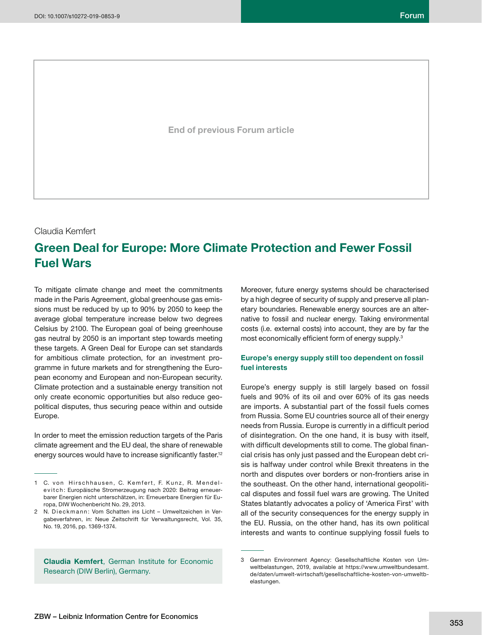**End of previous Forum article**

Claudia Kemfert

# **Green Deal for Europe: More Climate Protection and Fewer Fossil Fuel Wars**

To mitigate climate change and meet the commitments made in the Paris Agreement, global greenhouse gas emissions must be reduced by up to 90% by 2050 to keep the average global temperature increase below two degrees Celsius by 2100. The European goal of being greenhouse gas neutral by 2050 is an important step towards meeting these targets. A Green Deal for Europe can set standards for ambitious climate protection, for an investment programme in future markets and for strengthening the European economy and European and non-European security. Climate protection and a sustainable energy transition not only create economic opportunities but also reduce geopolitical disputes, thus securing peace within and outside Europe.

In order to meet the emission reduction targets of the Paris climate agreement and the EU deal, the share of renewable energy sources would have to increase significantly faster.<sup>12</sup>

**Claudia Kemfert**, German Institute for Economic Research (DIW Berlin), Germany.

Moreover, future energy systems should be characterised by a high degree of security of supply and preserve all planetary boundaries. Renewable energy sources are an alternative to fossil and nuclear energy. Taking environmental costs (i.e. external costs) into account, they are by far the most economically efficient form of energy supply.<sup>3</sup>

## **Europe's energy supply still too dependent on fossil fuel interests**

Europe's energy supply is still largely based on fossil fuels and 90% of its oil and over 60% of its gas needs are imports. A substantial part of the fossil fuels comes from Russia. Some EU countries source all of their energy needs from Russia. Europe is currently in a difficult period of disintegration. On the one hand, it is busy with itself, with difficult developments still to come. The global financial crisis has only just passed and the European debt crisis is halfway under control while Brexit threatens in the north and disputes over borders or non-frontiers arise in the southeast. On the other hand, international geopolitical disputes and fossil fuel wars are growing. The United States blatantly advocates a policy of 'America First' with all of the security consequences for the energy supply in the EU. Russia, on the other hand, has its own political interests and wants to continue supplying fossil fuels to

<sup>1</sup> C. von Hirschhausen, C. Kemfert, F. Kunz, R. Mendelevitch: Europäische Stromerzeugung nach 2020: Beitrag erneuerbarer Energien nicht unterschätzen, in: Erneuerbare Energien für Europa, DIW Wochenbericht No. 29, 2013.

<sup>2</sup> N. Dieckmann: Vom Schatten ins Licht - Umweltzeichen in Vergabeverfahren, in: Neue Zeitschrift für Verwaltungsrecht, Vol. 35, No. 19, 2016, pp. 1369-1374.

<sup>3</sup> German Environment Agency: Gesellschaftliche Kosten von Umweltbelastungen, 2019, available at https://www.umweltbundesamt. de/daten/umwelt-wirtschaft/gesellschaftliche-kosten-von-umweltbelastungen.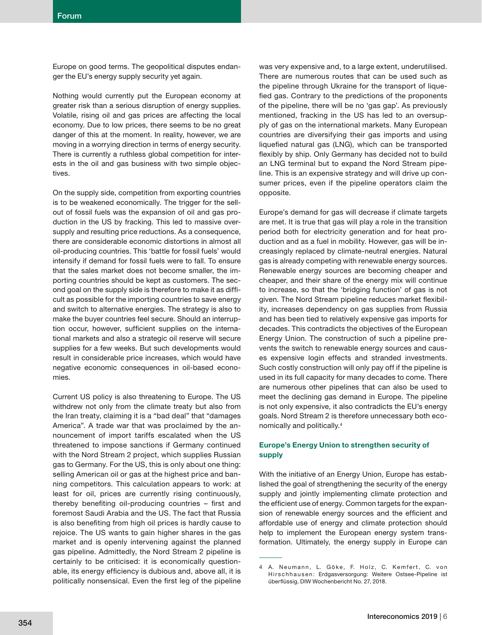Europe on good terms. The geopolitical disputes endanger the EU's energy supply security yet again.

Nothing would currently put the European economy at greater risk than a serious disruption of energy supplies. Volatile, rising oil and gas prices are affecting the local economy. Due to low prices, there seems to be no great danger of this at the moment. In reality, however, we are moving in a worrying direction in terms of energy security. There is currently a ruthless global competition for interests in the oil and gas business with two simple objectives.

On the supply side, competition from exporting countries is to be weakened economically. The trigger for the sellout of fossil fuels was the expansion of oil and gas production in the US by fracking. This led to massive oversupply and resulting price reductions. As a consequence, there are considerable economic distortions in almost all oil-producing countries. This 'battle for fossil fuels' would intensify if demand for fossil fuels were to fall. To ensure that the sales market does not become smaller, the importing countries should be kept as customers. The second goal on the supply side is therefore to make it as difficult as possible for the importing countries to save energy and switch to alternative energies. The strategy is also to make the buyer countries feel secure. Should an interruption occur, however, sufficient supplies on the international markets and also a strategic oil reserve will secure supplies for a few weeks. But such developments would result in considerable price increases, which would have negative economic consequences in oil-based economies.

Current US policy is also threatening to Europe. The US withdrew not only from the climate treaty but also from the Iran treaty, claiming it is a "bad deal" that "damages America". A trade war that was proclaimed by the announcement of import tariffs escalated when the US threatened to impose sanctions if Germany continued with the Nord Stream 2 project, which supplies Russian gas to Germany. For the US, this is only about one thing: selling American oil or gas at the highest price and banning competitors. This calculation appears to work: at least for oil, prices are currently rising continuously, thereby benefiting oil-producing countries  $-$  first and foremost Saudi Arabia and the US. The fact that Russia is also benefiting from high oil prices is hardly cause to rejoice. The US wants to gain higher shares in the gas market and is openly intervening against the planned gas pipeline. Admittedly, the Nord Stream 2 pipeline is certainly to be criticised: it is economically questionable, its energy efficiency is dubious and, above all, it is politically nonsensical. Even the first leg of the pipeline

was very expensive and, to a large extent, underutilised. There are numerous routes that can be used such as the pipeline through Ukraine for the transport of liquefied gas. Contrary to the predictions of the proponents of the pipeline, there will be no 'gas gap'. As previously mentioned, fracking in the US has led to an oversupply of gas on the international markets. Many European countries are diversifying their gas imports and using liquefied natural gas (LNG), which can be transported flexibly by ship. Only Germany has decided not to build an LNG terminal but to expand the Nord Stream pipeline. This is an expensive strategy and will drive up consumer prices, even if the pipeline operators claim the opposite.

Europe's demand for gas will decrease if climate targets are met. It is true that gas will play a role in the transition period both for electricity generation and for heat production and as a fuel in mobility. However, gas will be increasingly replaced by climate-neutral energies. Natural gas is already competing with renewable energy sources. Renewable energy sources are becoming cheaper and cheaper, and their share of the energy mix will continue to increase, so that the 'bridging function' of gas is not given. The Nord Stream pipeline reduces market flexibility, increases dependency on gas supplies from Russia and has been tied to relatively expensive gas imports for decades. This contradicts the objectives of the European Energy Union. The construction of such a pipeline prevents the switch to renewable energy sources and causes expensive login effects and stranded investments. Such costly construction will only pay off if the pipeline is used in its full capacity for many decades to come. There are numerous other pipelines that can also be used to meet the declining gas demand in Europe. The pipeline is not only expensive, it also contradicts the EU's energy goals. Nord Stream 2 is therefore unnecessary both economically and politically.4

# **Europe's Energy Union to strengthen security of supply**

With the initiative of an Energy Union, Europe has established the goal of strengthening the security of the energy supply and jointly implementing climate protection and the efficient use of energy. Common targets for the expansion of renewable energy sources and the efficient and affordable use of energy and climate protection should help to implement the European energy system transformation. Ultimately, the energy supply in Europe can

<sup>4</sup> A. Neumann, L. Göke, F. Holz, C. Kemfert, C. von Hirschhausen: Erdgasversorgung: Weitere Ostsee-Pipeline ist überflüssig, DIW Wochenbericht No. 27, 2018.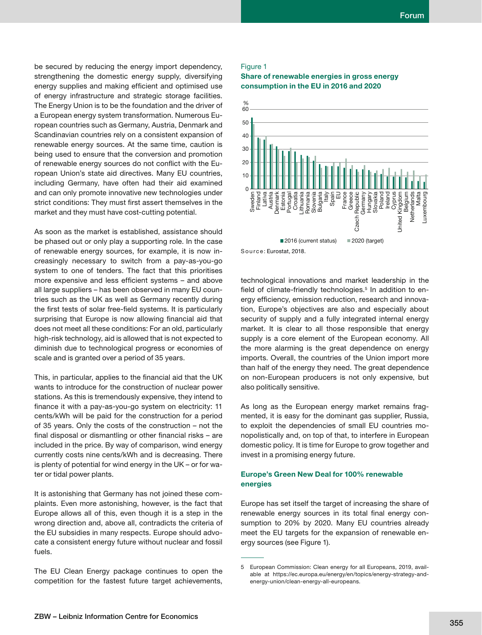be secured by reducing the energy import dependency, strengthening the domestic energy supply, diversifying energy supplies and making efficient and optimised use of energy infrastructure and strategic storage facilities. The Energy Union is to be the foundation and the driver of a European energy system transformation. Numerous European countries such as Germany, Austria, Denmark and Scandinavian countries rely on a consistent expansion of renewable energy sources. At the same time, caution is being used to ensure that the conversion and promotion of renewable energy sources do not conflict with the European Union's state aid directives. Many EU countries, including Germany, have often had their aid examined and can only promote innovative new technologies under strict conditions: They must first assert themselves in the market and they must have cost-cutting potential.

As soon as the market is established, assistance should be phased out or only play a supporting role. In the case of renewable energy sources, for example, it is now increasingly necessary to switch from a pay-as-you-go system to one of tenders. The fact that this prioritises more expensive and less efficient systems - and above all large suppliers – has been observed in many EU countries such as the UK as well as Germany recently during the first tests of solar free-field systems. It is particularly surprising that Europe is now allowing financial aid that does not meet all these conditions: For an old, particularly high-risk technology, aid is allowed that is not expected to diminish due to technological progress or economies of scale and is granted over a period of 35 years.

This, in particular, applies to the financial aid that the UK wants to introduce for the construction of nuclear power stations. As this is tremendously expensive, they intend to finance it with a pay-as-you-go system on electricity: 11 cents/kWh will be paid for the construction for a period of 35 years. Only the costs of the construction – not the final disposal or dismantling or other financial risks  $-$  are included in the price. By way of comparison, wind energy currently costs nine cents/kWh and is decreasing. There is plenty of potential for wind energy in the UK – or for water or tidal power plants.

It is astonishing that Germany has not joined these complaints. Even more astonishing, however, is the fact that Europe allows all of this, even though it is a step in the wrong direction and, above all, contradicts the criteria of the EU subsidies in many respects. Europe should advocate a consistent energy future without nuclear and fossil fuels.

The EU Clean Energy package continues to open the competition for the fastest future target achievements,

#### Figure 1

#### **Share of renewable energies in gross energy consumption in the EU in 2016 and 2020**





technological innovations and market leadership in the field of climate-friendly technologies.<sup>5</sup> In addition to energy efficiency, emission reduction, research and innovation, Europe's objectives are also and especially about security of supply and a fully integrated internal energy market. It is clear to all those responsible that energy supply is a core element of the European economy. All the more alarming is the great dependence on energy imports. Overall, the countries of the Union import more than half of the energy they need. The great dependence on non-European producers is not only expensive, but also politically sensitive.

As long as the European energy market remains fragmented, it is easy for the dominant gas supplier, Russia, to exploit the dependencies of small EU countries monopolistically and, on top of that, to interfere in European domestic policy. It is time for Europe to grow together and invest in a promising energy future.

### **Europe's Green New Deal for 100% renewable energies**

Europe has set itself the target of increasing the share of renewable energy sources in its total final energy consumption to 20% by 2020. Many EU countries already meet the EU targets for the expansion of renewable energy sources (see Figure 1).

<sup>5</sup> European Commission: Clean energy for all Europeans, 2019, available at https://ec.europa.eu/energy/en/topics/energy-strategy-andenergy-union/clean-energy-all-europeans.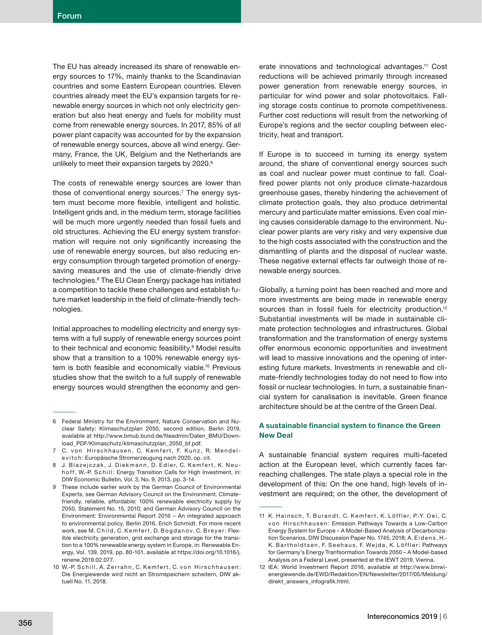The EU has already increased its share of renewable energy sources to 17%, mainly thanks to the Scandinavian countries and some Eastern European countries. Eleven countries already meet the EU's expansion targets for renewable energy sources in which not only electricity generation but also heat energy and fuels for mobility must come from renewable energy sources. In 2017, 85% of all power plant capacity was accounted for by the expansion of renewable energy sources, above all wind energy. Germany, France, the UK, Belgium and the Netherlands are unlikely to meet their expansion targets by 2020.<sup>6</sup>

The costs of renewable energy sources are lower than those of conventional energy sources.<sup>7</sup> The energy system must become more flexible, intelligent and holistic. Intelligent grids and, in the medium term, storage facilities will be much more urgently needed than fossil fuels and old structures. Achieving the EU energy system transformation will require not only significantly increasing the use of renewable energy sources, but also reducing energy consumption through targeted promotion of energysaving measures and the use of climate-friendly drive technologies.8 The EU Clean Energy package has initiated a competition to tackle these challenges and establish future market leadership in the field of climate-friendly technologies.

Initial approaches to modelling electricity and energy systems with a full supply of renewable energy sources point to their technical and economic feasibility.<sup>9</sup> Model results show that a transition to a 100% renewable energy system is both feasible and economically viable.<sup>10</sup> Previous studies show that the switch to a full supply of renewable energy sources would strengthen the economy and generate innovations and technological advantages.11 Cost reductions will be achieved primarily through increased power generation from renewable energy sources, in particular for wind power and solar photovoltaics. Falling storage costs continue to promote competitiveness. Further cost reductions will result from the networking of Europe's regions and the sector coupling between electricity, heat and transport.

If Europe is to succeed in turning its energy system around, the share of conventional energy sources such as coal and nuclear power must continue to fall. Coalfired power plants not only produce climate-hazardous greenhouse gases, thereby hindering the achievement of climate protection goals, they also produce detrimental mercury and particulate matter emissions. Even coal mining causes considerable damage to the environment. Nuclear power plants are very risky and very expensive due to the high costs associated with the construction and the dismantling of plants and the disposal of nuclear waste. These negative external effects far outweigh those of renewable energy sources.

Globally, a turning point has been reached and more and more investments are being made in renewable energy sources than in fossil fuels for electricity production.<sup>12</sup> Substantial investments will be made in sustainable climate protection technologies and infrastructures. Global transformation and the transformation of energy systems offer enormous economic opportunities and investment will lead to massive innovations and the opening of interesting future markets. Investments in renewable and climate-friendly technologies today do not need to flow into fossil or nuclear technologies. In turn, a sustainable financial system for canalisation is inevitable. Green finance architecture should be at the centre of the Green Deal.

# A sustainable financial system to finance the Green **New Deal**

A sustainable financial system requires multi-faceted action at the European level, which currently faces farreaching challenges. The state plays a special role in the development of this: On the one hand, high levels of investment are required; on the other, the development of

<sup>6</sup> Federal Ministry for the Environment, Nature Conservation and Nuclear Safety: Klimaschutzplan 2050, second edition, Berlin 2019, available at http://www.bmub.bund.de/fileadmin/Daten\_BMU/Download\_PDF/Klimaschutz/klimaschutzplan\_2050\_bf.pdf.

<sup>7</sup> C. von Hirschhausen, C. Kemfert, F. Kunz, R. Mendele vit ch: Europäische Stromerzeugung nach 2020, op. cit.

<sup>8</sup> J. Blazejczak, J. Diekmann, D. Edler, C. Kemfert, K. Neuh off, W.-P. Schill: Energy Transition Calls for High Investment, in: DIW Economic Bulletin, Vol. 3, No. 9, 2013, pp. 3-14.

<sup>9</sup> These include earlier work by the German Council of Environmental Experts, see German Advisory Council on the Environment: Climatefriendly, reliable, affordable: 100% renewable electricity supply by 2050, Statement No. 15, 2010; and German Advisory Council on the Environment: Environmental Report 2016 – An integrated approach to environmental policy, Berlin 2016, Erich Schmidt. For more recent work, see M. Child, C. Kemfert, D. Bogdanov, C. Breyer: Flexible electricity generation, grid exchange and storage for the transition to a 100% renewable energy system in Europe, in: Renewable Energy, Vol. 139, 2019, pp. 80-101, available at https://doi.org/10.1016/j. renene.2019.02.077.

<sup>10</sup> W.-P. Schill, A. Zerrahn, C. Kemfert, C. von Hirschhausen: Die Energiewende wird nicht an Stromspeichern scheitern, DIW aktuell No. 11, 2018.

<sup>11</sup> K. Hainsch, T. Burandt, C. Kemfert, K. Löffler, P.-Y. Oei, C. von Hirschhausen: Emission Pathways Towards a Low-Carbon Energy System for Europe – A Model-Based Analysis of Decarbonization Scenarios, DIW Discussion Paper No. 1745, 2018; A. Eidens, H.-K. Bartholdtsen, F. Seehaus, F. Wejda, K. Löffler: Pathways for Germany's Energy Tranfsormation Towards 2050 – A Model-based Analysis on a Federal Level, presented at the IEWT 2019, Vienna.

<sup>12</sup> IEA: World Investment Report 2016, available at http://www.bmwienergiewende.de/EWD/Redaktion/EN/Newsletter/2017/05/Meldung/ direkt\_answers\_infografik.html.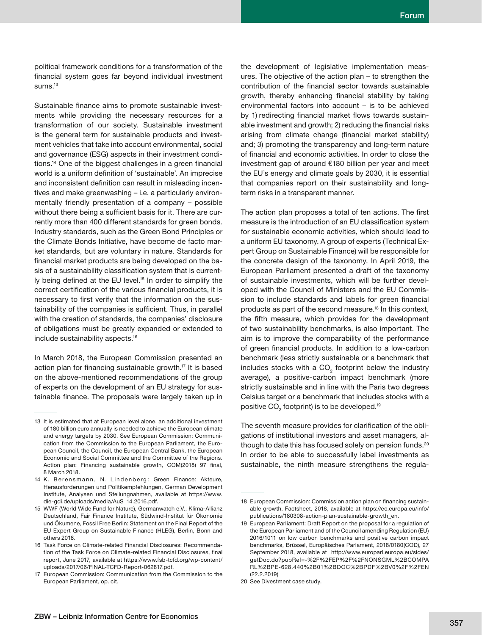political framework conditions for a transformation of the financial system goes far beyond individual investment sums.<sup>13</sup>

Sustainable finance aims to promote sustainable investments while providing the necessary resources for a transformation of our society. Sustainable investment is the general term for sustainable products and investment vehicles that take into account environmental, social and governance (ESG) aspects in their investment conditions.<sup>14</sup> One of the biggest challenges in a green financial world is a uniform definition of 'sustainable'. An imprecise and inconsistent definition can result in misleading incentives and make greenwashing – i.e. a particularly environmentally friendly presentation of a company – possible without there being a sufficient basis for it. There are currently more than 400 different standards for green bonds. Industry standards, such as the Green Bond Principles or the Climate Bonds Initiative, have become de facto market standards, but are voluntary in nature. Standards for financial market products are being developed on the basis of a sustainability classification system that is currently being defined at the EU level.<sup>15</sup> In order to simplify the correct certification of the various financial products, it is necessary to first verify that the information on the sustainability of the companies is sufficient. Thus, in parallel with the creation of standards, the companies' disclosure of obligations must be greatly expanded or extended to include sustainability aspects.16

In March 2018, the European Commission presented an action plan for financing sustainable growth.<sup>17</sup> It is based on the above-mentioned recommendations of the group of experts on the development of an EU strategy for sustainable finance. The proposals were largely taken up in

the development of legislative implementation measures. The objective of the action plan – to strengthen the contribution of the financial sector towards sustainable growth, thereby enhancing financial stability by taking environmental factors into account – is to be achieved by 1) redirecting financial market flows towards sustainable investment and growth; 2) reducing the financial risks arising from climate change (financial market stability) and; 3) promoting the transparency and long-term nature of financial and economic activities. In order to close the investment gap of around €180 billion per year and meet the EU's energy and climate goals by 2030, it is essential that companies report on their sustainability and longterm risks in a transparent manner.

The action plan proposes a total of ten actions. The first measure is the introduction of an EU classification system for sustainable economic activities, which should lead to a uniform EU taxonomy. A group of experts (Technical Expert Group on Sustainable Finance) will be responsible for the concrete design of the taxonomy. In April 2019, the European Parliament presented a draft of the taxonomy of sustainable investments, which will be further developed with the Council of Ministers and the EU Commission to include standards and labels for green financial products as part of the second measure.18 In this context, the fifth measure, which provides for the development of two sustainability benchmarks, is also important. The aim is to improve the comparability of the performance of green financial products. In addition to a low-carbon benchmark (less strictly sustainable or a benchmark that includes stocks with a CO<sub>2</sub> footprint below the industry average), a positive-carbon impact benchmark (more strictly sustainable and in line with the Paris two degrees Celsius target or a benchmark that includes stocks with a positive CO $_{\tiny 2}$  footprint) is to be developed. $^{\rm 19}$ 

The seventh measure provides for clarification of the obligations of institutional investors and asset managers, although to date this has focused solely on pension funds.<sup>20</sup> In order to be able to successfully label investments as sustainable, the ninth measure strengthens the regula-

<sup>13</sup> It is estimated that at European level alone, an additional investment of 180 billion euro annually is needed to achieve the European climate and energy targets by 2030. See European Commission: Communication from the Commission to the European Parliament, the European Council, the Council, the European Central Bank, the European Economic and Social Committee and the Committee of the Regions. Action plan: Financing sustainable growth, COM(2018) 97 final, 8 March 2018.

<sup>14</sup> K. Berensmann, N. Lindenberg: Green Finance: Akteure, Herausforderungen und Politikempfehlungen, German Development Institute, Analysen und Stellungnahmen, available at https://www. die-gdi.de/uploads/media/AuS\_14.2016.pdf.

<sup>15</sup> WWF (World Wide Fund for Nature), Germanwatch e.V., Klima-Allianz Deutschland, Fair Finance Institute, Südwind-Institut für Ökonomie und Ökumene, Fossil Free Berlin: Statement on the Final Report of the EU Expert Group on Sustainable Finance (HLEG), Berlin, Bonn and others 2018.

<sup>16</sup> Task Force on Climate-related Financial Disclosures: Recommendation of the Task Force on Climate-related Financial Disclosures, final report, June 2017, available at https://www.fsb-tcfd.org/wp-content/ uploads/2017/06/FINAL-TCFD-Report-062817.pdf.

<sup>17</sup> European Commission: Communication from the Commission to the European Parliament, op. cit.

<sup>18</sup> European Commission: Commission action plan on financing sustainable growth, Factsheet, 2018, available at https://ec.europa.eu/info/ publications/180308-action-plan-sustainable-growth\_en.

<sup>19</sup> European Parliament: Draft Report on the proposal for a regulation of the European Parliament and of the Council amending Regulation (EU) 2016/1011 on low carbon benchmarks and positive carbon impact benchmarks, Brüssel, Europäisches Parlament, 2018/0180(COD), 27 September 2018, available at http://www.europarl.europa.eu/sides/ getDoc.do?pubRef=-%2F%2FEP%2F%2FNONSGML%2BCOMPA RL%2BPE-628.440%2B01%2BDOC%2BPDF%2BV0%2F%2FEN (22.2.2019)

<sup>20</sup> See Divestment case study.